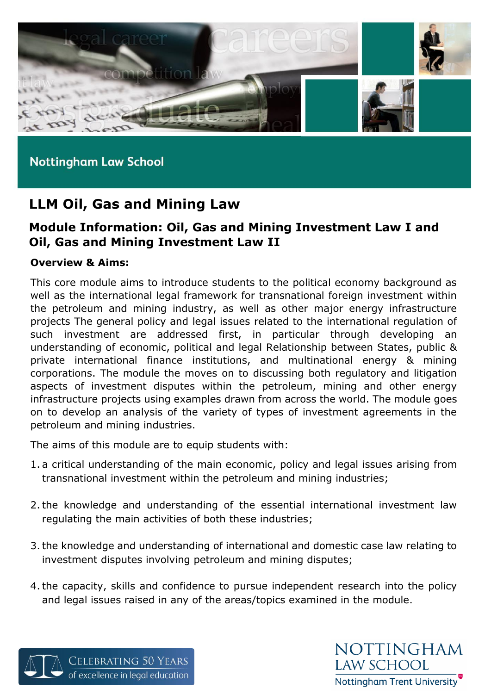

# **LLM Oil, Gas and Mining Law**

# **Module Information: Oil, Gas and Mining Investment Law I and Oil, Gas and Mining Investment Law II**

#### **Overview & Aims:**

This core module aims to introduce students to the political economy background as well as the international legal framework for transnational foreign investment within the petroleum and mining industry, as well as other major energy infrastructure projects The general policy and legal issues related to the international regulation of such investment are addressed first, in particular through developing an understanding of economic, political and legal Relationship between States, public & private international finance institutions, and multinational energy & mining corporations. The module the moves on to discussing both regulatory and litigation aspects of investment disputes within the petroleum, mining and other energy infrastructure projects using examples drawn from across the world. The module goes on to develop an analysis of the variety of types of investment agreements in the petroleum and mining industries.

The aims of this module are to equip students with:

- 1. a critical understanding of the main economic, policy and legal issues arising from transnational investment within the petroleum and mining industries;
- 2.the knowledge and understanding of the essential international investment law regulating the main activities of both these industries;
- 3.the knowledge and understanding of international and domestic case law relating to investment disputes involving petroleum and mining disputes;
- 4.the capacity, skills and confidence to pursue independent research into the policy and legal issues raised in any of the areas/topics examined in the module.



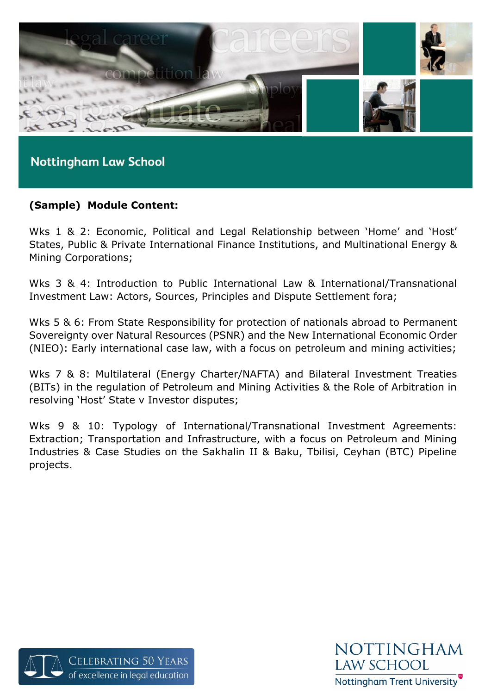

# **(Sample) Module Content:**

Wks 1 & 2: Economic, Political and Legal Relationship between 'Home' and 'Host' States, Public & Private International Finance Institutions, and Multinational Energy & Mining Corporations;

Wks 3 & 4: Introduction to Public International Law & International/Transnational Investment Law: Actors, Sources, Principles and Dispute Settlement fora;

Wks 5 & 6: From State Responsibility for protection of nationals abroad to Permanent Sovereignty over Natural Resources (PSNR) and the New International Economic Order (NIEO): Early international case law, with a focus on petroleum and mining activities;

Wks 7 & 8: Multilateral (Energy Charter/NAFTA) and Bilateral Investment Treaties (BITs) in the regulation of Petroleum and Mining Activities & the Role of Arbitration in resolving 'Host' State v Investor disputes;

Wks 9 & 10: Typology of International/Transnational Investment Agreements: Extraction; Transportation and Infrastructure, with a focus on Petroleum and Mining Industries & Case Studies on the Sakhalin II & Baku, Tbilisi, Ceyhan (BTC) Pipeline projects.



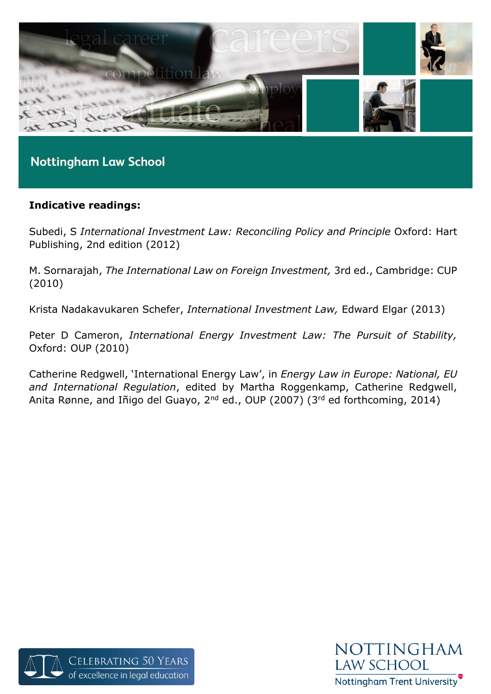

# **Indicative readings:**

Subedi, S *International Investment Law: Reconciling Policy and Principle* Oxford: Hart Publishing, 2nd edition (2012)

M. Sornarajah, *The International Law on Foreign Investment,* 3rd ed., Cambridge: CUP (2010)

Krista Nadakavukaren Schefer, *International Investment Law,* Edward Elgar (2013)

Peter D Cameron, *International Energy Investment Law: The Pursuit of Stability,*  Oxford: OUP (2010)

Catherine Redgwell, 'International Energy Law', in *Energy Law in Europe: National, EU and International Regulation*, edited by Martha Roggenkamp, Catherine Redgwell, Anita Rønne, and Iñigo del Guayo, 2<sup>nd</sup> ed., OUP (2007) (3<sup>rd</sup> ed forthcoming, 2014)



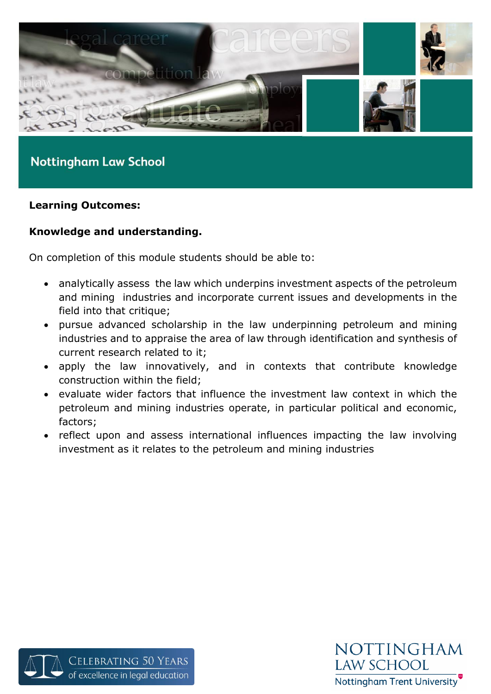

#### **Learning Outcomes:**

# **Knowledge and understanding.**

On completion of this module students should be able to:

- analytically assess the law which underpins investment aspects of the petroleum and mining industries and incorporate current issues and developments in the field into that critique;
- pursue advanced scholarship in the law underpinning petroleum and mining industries and to appraise the area of law through identification and synthesis of current research related to it;
- apply the law innovatively, and in contexts that contribute knowledge construction within the field;
- evaluate wider factors that influence the investment law context in which the petroleum and mining industries operate, in particular political and economic, factors;
- reflect upon and assess international influences impacting the law involving investment as it relates to the petroleum and mining industries